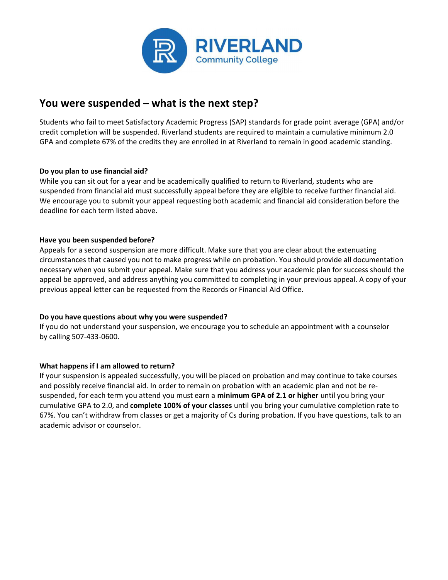

### You were suspended – what is the next step?

Students who fail to meet Satisfactory Academic Progress (SAP) standards for grade point average (GPA) and/or credit completion will be suspended. Riverland students are required to maintain a cumulative minimum 2.0 GPA and complete 67% of the credits they are enrolled in at Riverland to remain in good academic standing.

### Do you plan to use financial aid?

While you can sit out for a year and be academically qualified to return to Riverland, students who are suspended from financial aid must successfully appeal before they are eligible to receive further financial aid. We encourage you to submit your appeal requesting both academic and financial aid consideration before the deadline for each term listed above.

### Have you been suspended before?

Appeals for a second suspension are more difficult. Make sure that you are clear about the extenuating circumstances that caused you not to make progress while on probation. You should provide all documentation necessary when you submit your appeal. Make sure that you address your academic plan for success should the appeal be approved, and address anything you committed to completing in your previous appeal. A copy of your previous appeal letter can be requested from the Records or Financial Aid Office.

#### Do you have questions about why you were suspended?

If you do not understand your suspension, we encourage you to schedule an appointment with a counselor by calling 507-433-0600.

### What happens if I am allowed to return?

If your suspension is appealed successfully, you will be placed on probation and may continue to take courses and possibly receive financial aid. In order to remain on probation with an academic plan and not be resuspended, for each term you attend you must earn a minimum GPA of 2.1 or higher until you bring your cumulative GPA to 2.0, and complete 100% of your classes until you bring your cumulative completion rate to 67%. You can't withdraw from classes or get a majority of Cs during probation. If you have questions, talk to an academic advisor or counselor.